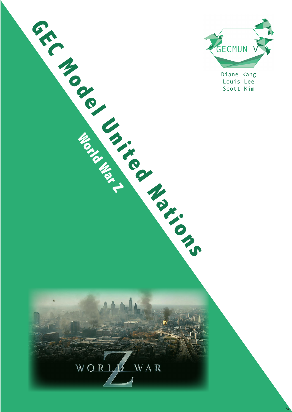

Diane Kang Louis Lee

w



**Monday**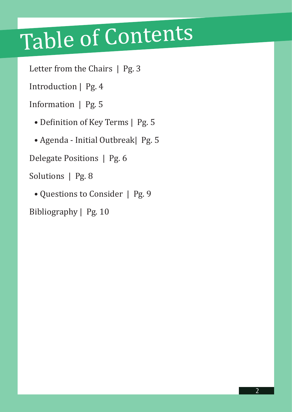## Table of Contents

Letter from the Chairs | Pg. 3

Introduction | Pg. 4

Information | Pg. 5

• Definition of Key Terms | Pg. 5

• Agenda - Initial Outbreak| Pg. 5

Delegate Positions | Pg. 6

Solutions | Pg. 8

• Questions to Consider | Pg. 9

Bibliography | Pg. 10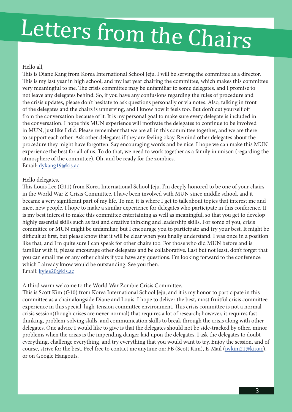# Letters from the Chairs

#### Hello all,

This is Diane Kang from Korea International School Jeju. I will be serving the committee as a director. This is my last year in high school, and my last year chairing the committee, which makes this committee very meaningful to me. The crisis committee may be unfamiliar to some delegates, and I promise to not leave any delegates behind. So, if you have any confusions regarding the rules of procedure and the crisis updates, please don't hesitate to ask questions personally or via notes. Also, talking in front of the delegates and the chairs is unnerving, and I know how it feels too. But don't cut yourself off from the conversation because of it. It is my personal goal to make sure every delegate is included in the conversation. I hope this MUN experience will motivate the delegates to continue to be involved in MUN, just like I did. Please remember that we are all in this committee together, and we are there to support each other. Ask other delegates if they are feeling okay. Remind other delegates about the procedure they might have forgotten. Say encouraging words and be nice. I hope we can make this MUN experience the best for all of us. To do that, we need to work together as a family in unison (regarding the atmosphere of the committee). Oh, and be ready for the zombies. Email: dykang19@kis.ac

#### Hello delegates,

This Louis Lee (G11) from Korea International School Jeju. I'm deeply honored to be one of your chairs in the World War Z Crisis Committee. I have been involved with MUN since middle school, and it became a very significant part of my life. To me, it is where I get to talk about topics that interest me and meet new people. I hope to make a similar experience for delegates who participate in this conference. It is my best interest to make this committee entertaining as well as meaningful, so that you get to develop highly essential skills such as fast and creative thinking and leadership skills. For some of you, crisis committee or MUN might be unfamiliar, but I encourage you to participate and try your best. It might be difficult at first, but please know that it will be clear when you finally understand. I was once in a position like that, and I'm quite sure I can speak for other chairs too. For those who did MUN before and is familiar with it, please encourage other delegates and be collaborative. Last but not least, don't forget that you can email me or any other chairs if you have any questions. I'm looking forward to the conference which I already know would be outstanding. See you then. Email: kylee20@kis.ac

#### A third warm welcome to the World War Zombie Crisis Committee,

This is Scott Kim (G10) from Korea International School Jeju, and it is my honor to participate in this committee as a chair alongside Diane and Louis. I hope to deliver the best, most fruitful crisis committee experience in this special, high-tension committee environment. This crisis committee is not a normal crisis session(though crises are never normal) that requires a lot of research; however, it requires fastthinking, problem-solving skills, and communication skills to break through the crisis along with other delegates. One advice I would like to give is that the delegates should not be side-tracked by other, minor problems when the crisis is the impending danger laid upon the delegates. I ask the delegates to doubt everything, challenge everything, and try everything that you would want to try. Enjoy the session, and of course, strive for the best. Feel free to contact me anytime on: FB (Scott Kim), E-Mail (iwkim21@kis.ac), or on Google Hangouts.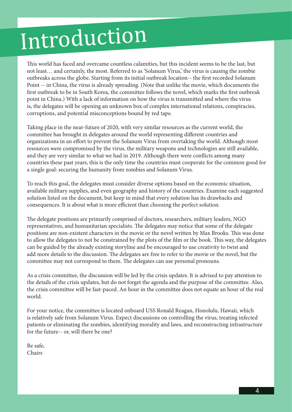## Introduction

This world has faced and overcame countless calamities, but this incident seems to be the last, but not least… and certainly, the most. Referred to as 'Solanum Virus,' the virus is causing the zombie outbreaks across the globe. Starting from its initial outbreak location-- the first recorded Solanum Point -- in China, the virus is already spreading. (Note that unlike the movie, which documents the first outbreak to be in South Korea, the committee follows the novel, which marks the first outbreak point in China.) With a lack of information on how the virus is transmitted and where the virus is, the delegates will be opening an unknown box of complex international relations, conspiracies, corruptions, and potential misconceptions bound by red tape.

Taking place in the near-future of 2020, with very similar resources as the current world, the committee has brought in delegates around the world representing different countries and organizations in an effort to prevent the Solanum Virus from overtaking the world. Although most resources were compromised by the virus, the military weapons and technologies are still available, and they are very similar to what we had in 2019. Although there were conflicts among many countries these past years, this is the only time the countries must cooperate for the common good for a single goal: securing the humanity from zombies and Solanum Virus.

To reach this goal, the delegates must consider diverse options based on the economic situation, available military supplies, and even geography and history of the countries. Examine each suggested solution listed on the document, but keep in mind that every solution has its drawbacks and consequences. It is about what is more efficient than choosing the perfect solution.

The delegate positions are primarily comprised of doctors, researchers, military leaders, NGO representatives, and humanitarian specialists. The delegates may notice that some of the delegate positions are non-existent characters in the movie or the novel written by Max Brooks. This was done to allow the delegates to not be constrained by the plots of the film or the book. This way, the delegates can be guided by the already existing storyline and be encouraged to use creativity to twist and add more details to the discussion. The delegates are free to refer to the movie or the novel, but the committee may not correspond to them. The delegates can use personal pronouns.

As a crisis committee, the discussion will be led by the crisis updates. It is advised to pay attention to the details of the crisis updates, but do not forget the agenda and the purpose of the committee. Also, the crisis committee will be fast-paced. An hour in the committee does not equate an hour of the real world.

For your notice, the committee is located onboard USS Ronald Reagan, Honolulu, Hawaii, which is relatively safe from Solanum Virus. Expect discussions on controlling the virus, treating infected patients or eliminating the zombies, identifying morality and laws, and reconstructing infrastructure for the future-- or, will there be one?

Be safe, Chairs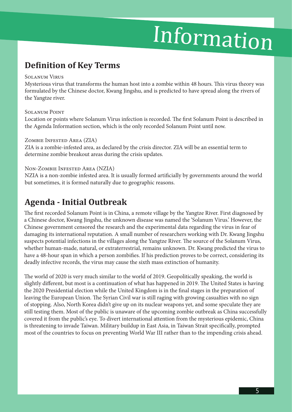## Information

### **Definition of Key Terms**

#### Solanum Virus

Mysterious virus that transforms the human host into a zombie within 48 hours. This virus theory was formulated by the Chinese doctor, Kwang Jingshu, and is predicted to have spread along the rivers of the Yangtze river.

#### Solanum Point

Location or points where Solanum Virus infection is recorded. The first Solanum Point is described in the Agenda Information section, which is the only recorded Solanum Point until now.

#### Zombie Infested Area (ZIA)

ZIA is a zombie-infested area, as declared by the crisis director. ZIA will be an essential term to determine zombie breakout areas during the crisis updates.

#### Non-Zombie Infested Area (NZIA)

NZIA is a non-zombie infested area. It is usually formed artificially by governments around the world but sometimes, it is formed naturally due to geographic reasons.

### **Agenda - Initial Outbreak**

The first recorded Solanum Point is in China, a remote village by the Yangtze River. First diagnosed by a Chinese doctor, Kwang Jingshu, the unknown disease was named the 'Solanum Virus.' However, the Chinese government censored the research and the experimental data regarding the virus in fear of damaging its international reputation. A small number of researchers working with Dr. Kwang Jingshu suspects potential infections in the villages along the Yangtze River. The source of the Solanum Virus, whether human-made, natural, or extraterrestrial, remains unknown. Dr. Kwang predicted the virus to have a 48-hour span in which a person zombifies. If his prediction proves to be correct, considering its deadly infective records, the virus may cause the sixth mass extinction of humanity.

The world of 2020 is very much similar to the world of 2019. Geopolitically speaking, the world is slightly different, but most is a continuation of what has happened in 2019. The United States is having the 2020 Presidential election while the United Kingdom is in the final stages in the preparation of leaving the European Union. The Syrian Civil war is still raging with growing casualties with no sign of stopping. Also, North Korea didn't give up on its nuclear weapons yet, and some speculate they are still testing them. Most of the public is unaware of the upcoming zombie outbreak as China successfully covered it from the public's eye. To divert international attention from the mysterious epidemic, China is threatening to invade Taiwan. Military buildup in East Asia, in Taiwan Strait specifically, prompted most of the countries to focus on preventing World War III rather than to the impending crisis ahead.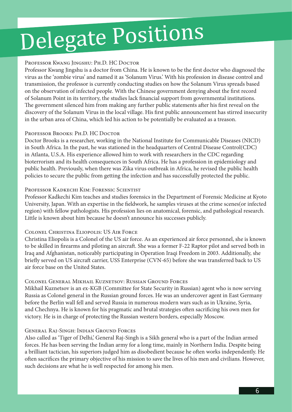# Delegate Positions

#### Professor Kwang Jingshu: Ph.D. HC Doctor

Professor Kwang Jingshu is a doctor from China. He is known to be the first doctor who diagnosed the virus as the 'zombie virus' and named it as 'Solanum Virus.' With his profession in disease control and transmission, the professor is currently conducting studies on how the Solanum Virus spreads based on the observation of infected people. With the Chinese government denying about the first record of Solanum Point in its territory, the studies lack financial support from governmental institutions. The government silenced him from making any further public statements after his first reveal on the discovery of the Solanum Virus in the local village. His first public announcement has stirred insecurity in the urban area of China, which led his action to be potentially be evaluated as a treason.

#### Professor Brooks: Ph.D. HC Doctor

Doctor Brooks is a researcher, working in the National Institute for Communicable Diseases (NICD) in South Africa. In the past, he was stationed in the headquarters of Central Disease Control(CDC) in Atlanta, U.S.A. His experience allowed him to work with researchers in the CDC regarding bioterrorism and its health consequences in South Africa. He has a profession in epidemiology and public health. Previously, when there was Zika virus outbreak in Africa, he revised the public health policies to secure the public from getting the infection and has successfully protected the public.

#### Professor Kadkechi Kim: Forensic Scientist

Professor Kadkechi Kim teaches and studies forensics in the Department of Forensic Medicine at Kyoto University, Japan. With an expertise in the fieldwork, he samples viruses at the crime scenes(or infected region) with fellow pathologists. His profession lies on anatomical, forensic, and pathological research. Little is known about him because he doesn't announce his successes publicly.

#### Colonel Christina Eliopolis: US Air Force

Christina Eliopolis is a Colonel of the US air force. As an experienced air force personnel, she is known to be skilled in firearms and piloting an aircraft. She was a former F-22 Raptor pilot and served both in Iraq and Afghanistan, noticeably participating in Operation Iraqi Freedom in 2003. Additionally, she briefly served on US aircraft carrier, USS Enterprise (CVN-65) before she was transferred back to US air force base on the United States.

#### Colonel General Mikhail Kuznetsov: Russian Ground Forces

Mikhail Kuznetsov is an ex-KGB (Committee for State Security in Russian) agent who is now serving Russia as Colonel general in the Russian ground forces. He was an undercover agent in East Germany before the Berlin wall fell and served Russia in numerous modern wars such as in Ukraine, Syria, and Chechnya. He is known for his pragmatic and brutal strategies often sacrificing his own men for victory. He is in charge of protecting the Russian western borders, especially Moscow.

#### General Raj-Singh: Indian Ground Forces

Also called as 'Tiger of Delhi,' General Raj-Singh is a Sikh general who is a part of the Indian armed forces. He has been serving the Indian army for a long time, mainly in Northern India. Despite being a brilliant tactician, his superiors judged him as disobedient because he often works independently. He often sacrifices the primary objective of his mission to save the lives of his men and civilians. However, such decisions are what he is well respected for among his men.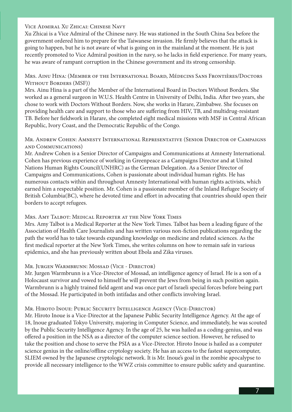Vice Admiral Xu Zhicai: Chinese Navy

Xu Zhicai is a Vice Admiral of the Chinese navy. He was stationed in the South China Sea before the government ordered him to prepare for the Taiwanese invasion. He firmly believes that the attack is going to happen, but he is not aware of what is going on in the mainland at the moment. He is just recently promoted to Vice Admiral position in the navy, so he lacks in field experience. For many years, he was aware of rampant corruption in the Chinese government and its strong censorship.

Mrs. Ainu Hina: (Member of the International Board, Médecins Sans Frontières/Doctors Without Borders (MSF))

Mrs. Ainu Hina is a part of the Member of the International Board in Doctors Without Borders. She worked as a general surgeon in W.U.S. Health Centre in University of Delhi, India. After two years, she chose to work with Doctors Without Borders. Now, she works in Harare, Zimbabwe. She focuses on providing health care and support to those who are suffering from HIV, TB, and multidrug-resistant TB. Before her fieldwork in Harare, she completed eight medical missions with MSF in Central African Republic, Ivory Coast, and the Democratic Republic of the Congo.

#### Mr. Andrew Cohen: Amnesty International Representative (Senior Director of Campaigns and Communications)

Mr. Andrew Cohen is a Senior Director of Campaigns and Communications at Amnesty International. Cohen has previous experience of working in Greenpeace as a Campaigns Director and at United Nations Human Rights Council(UNHRC) as the German Delegation. As a Senior Director of Campaigns and Communications, Cohen is passionate about individual human rights. He has numerous contacts within and throughout Amnesty International with human rights activists, which earned him a respectable position. Mr. Cohen is a passionate member of the Inland Refugee Society of British Columbia(BC), where he devoted time and effort in advocating that countries should open their borders to accept refugees.

#### Mrs. Amy Talbot: Medical Reporter at the New York Times

Mrs. Amy Talbot is a Medical Reporter at the New York Times. Talbot has been a leading figure of the Association of Health Care Journalists and has written various non-fiction publications regarding the path the world has to take towards expanding knowledge on medicine and related sciences. As the first medical reporter at the New York Times, she writes columns on how to remain safe in various epidemics, and she has previously written about Ebola and Zika viruses.

#### Mr. Jurgen Warmbrunn: Mossad (Vice - Director)

Mr. Jurgen Warmbrunn is a Vice-Director of Mossad, an intelligence agency of Israel. He is a son of a Holocaust survivor and vowed to himself he will prevent the Jews from being in such position again. Warmbrunn is a highly trained field agent and was once part of Israeli special forces before being part of the Mossad. He participated in both intifadas and other conflicts involving Israel.

#### Mr. Hiroto Inoue: Public Security Intelligence Agency (Vice-Director)

Mr. Hiroto Inoue is a Vice-Director at the Japanese Public Security Intelligence Agency. At the age of 18, Inoue graduated Tokyo University, majoring in Computer Science, and immediately, he was scouted by the Public Security Intelligence Agency. In the age of 25, he was hailed as a coding-genius, and was offered a position in the NSA as a director of the computer science section. However, he refused to take the position and chose to serve the PSIA as a Vice-Director. Hiroto Inoue is hailed as a computer science genius in the online/offline cryptology society. He has an access to the fastest supercomputer, SLIEM owned by the Japanese cryptologic network. It is Mr. Inoue's goal in the zombie apocalypse to provide all necessary intelligence to the WWZ crisis committee to ensure public safety and quarantine.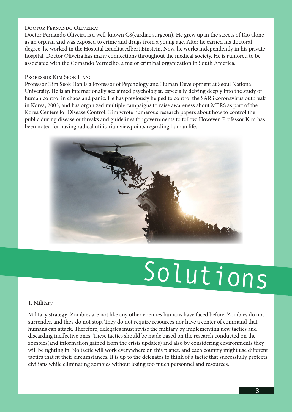#### Doctor Fernando Oliveira:

Doctor Fernando Oliveira is a well-known CS(cardiac surgeon). He grew up in the streets of Rio alone as an orphan and was exposed to crime and drugs from a young age. After he earned his doctoral degree, he worked in the Hospital Israelita Albert Einstein. Now, he works independently in his private hospital. Doctor Oliveira has many connections throughout the medical society. He is rumored to be associated with the Comando Vermelho, a major criminal organization in South America.

#### Professor Kim Seok Han:

Professor Kim Seok Han is a Professor of Psychology and Human Development at Seoul National University. He is an internationally acclaimed psychologist, especially delving deeply into the study of human control in chaos and panic. He has previously helped to control the SARS coronavirus outbreak in Korea, 2003, and has organized multiple campaigns to raise awareness about MERS as part of the Korea Centers for Disease Control. Kim wrote numerous research papers about how to control the public during disease outbreaks and guidelines for governments to follow. However, Professor Kim has been noted for having radical utilitarian viewpoints regarding human life.



# Solutions

#### 1. Military

Military strategy: Zombies are not like any other enemies humans have faced before. Zombies do not surrender, and they do not stop. They do not require resources nor have a center of command that humans can attack. Therefore, delegates must revise the military by implementing new tactics and discarding ineffective ones. These tactics should be made based on the research conducted on the zombies(and information gained from the crisis updates) and also by considering environments they will be fighting in. No tactic will work everywhere on this planet, and each country might use different tactics that fit their circumstances. It is up to the delegates to think of a tactic that successfully protects civilians while eliminating zombies without losing too much personnel and resources.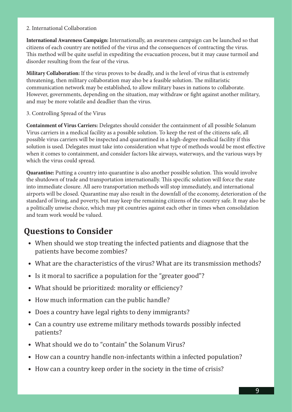#### 2. International Collaboration

**International Awareness Campaign:** Internationally, an awareness campaign can be launched so that citizens of each country are notified of the virus and the consequences of contracting the virus. This method will be quite useful in expediting the evacuation process, but it may cause turmoil and disorder resulting from the fear of the virus.

**Military Collaboration:** If the virus proves to be deadly, and is the level of virus that is extremely threatening, then military collaboration may also be a feasible solution. The militaristic communication network may be established, to allow military bases in nations to collaborate. However, governments, depending on the situation, may withdraw or fight against another military, and may be more volatile and deadlier than the virus.

3. Controlling Spread of the Virus

**Containment of Virus Carriers:** Delegates should consider the containment of all possible Solanum Virus carriers in a medical facility as a possible solution. To keep the rest of the citizens safe, all possible virus carriers will be inspected and quarantined in a high-degree medical facility if this solution is used. Delegates must take into consideration what type of methods would be most effective when it comes to containment, and consider factors like airways, waterways, and the various ways by which the virus could spread.

**Quarantine:** Putting a country into quarantine is also another possible solution. This would involve the shutdown of trade and transportation internationally. This specific solution will force the state into immediate closure. All aero transportation methods will stop immediately, and international airports will be closed. Quarantine may also result in the downfall of the economy, deterioration of the standard of living, and poverty, but may keep the remaining citizens of the country safe. It may also be a politically unwise choice, which may pit countries against each other in times when consolidation and team work would be valued.

### **Questions to Consider**

- When should we stop treating the infected patients and diagnose that the patients have become zombies?
- What are the characteristics of the virus? What are its transmission methods?
- Is it moral to sacrifice a population for the "greater good"?
- What should be prioritized: morality or efficiency?
- How much information can the public handle?
- Does a country have legal rights to deny immigrants?
- Can a country use extreme military methods towards possibly infected patients?
- What should we do to "contain" the Solanum Virus?
- How can a country handle non-infectants within a infected population?
- How can a country keep order in the society in the time of crisis?